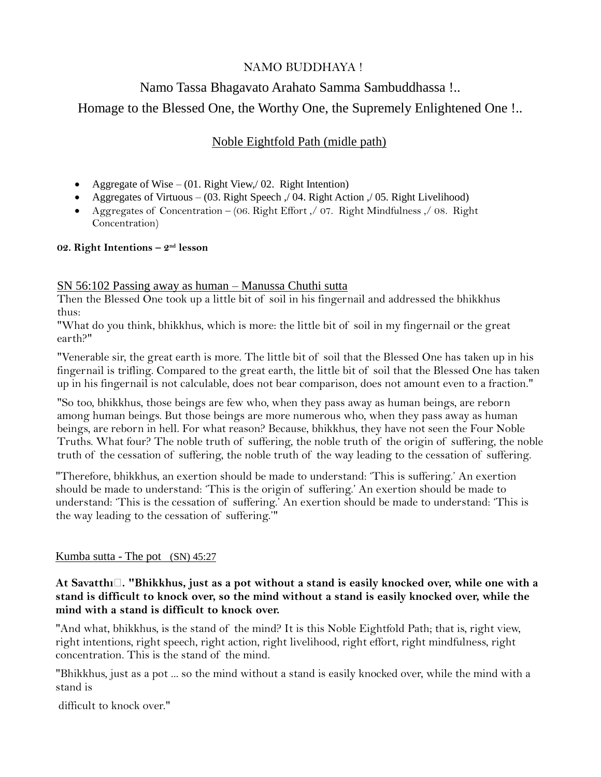# NAMO BUDDHAYA !

# Namo Tassa Bhagavato Arahato Samma Sambuddhassa !.. Homage to the Blessed One, the Worthy One, the Supremely Enlightened One !..

# Noble Eightfold Path (midle path)

- Aggregate of Wise (01. Right View, 02. Right Intention)
- Aggregates of Virtuous (03. Right Speech , 04. Right Action , 05. Right Livelihood)
- Aggregates of Concentration (06. Right Effort ,/ 07. Right Mindfulness ,/ 08. Right Concentration)

### **02. Right Intentions – 2 nd lesson**

### SN 56:102 Passing away as human – Manussa Chuthi sutta

Then the Blessed One took up a little bit of soil in his fingernail and addressed the bhikkhus thus:

"What do you think, bhikkhus, which is more: the little bit of soil in my fingernail or the great earth?"

"Venerable sir, the great earth is more. The little bit of soil that the Blessed One has taken up in his fingernail is trifling. Compared to the great earth, the little bit of soil that the Blessed One has taken up in his fingernail is not calculable, does not bear comparison, does not amount even to a fraction."

"So too, bhikkhus, those beings are few who, when they pass away as human beings, are reborn among human beings. But those beings are more numerous who, when they pass away as human beings, are reborn in hell. For what reason? Because, bhikkhus, they have not seen the Four Noble Truths. What four? The noble truth of suffering, the noble truth of the origin of suffering, the noble truth of the cessation of suffering, the noble truth of the way leading to the cessation of suffering.

"Therefore, bhikkhus, an exertion should be made to understand: 'This is suffering.' An exertion should be made to understand: 'This is the origin of suffering.' An exertion should be made to understand: 'This is the cessation of suffering.' An exertion should be made to understand: 'This is the way leading to the cessation of suffering.'"

### Kumba sutta - The pot (SN) 45:27

**At Savatthı̄. "Bhikkhus, just as a pot without a stand is easily knocked over, while one with a stand is difficult to knock over, so the mind without a stand is easily knocked over, while the mind with a stand is difficult to knock over.**

"And what, bhikkhus, is the stand of the mind? It is this Noble Eightfold Path; that is, right view, right intentions, right speech, right action, right livelihood, right effort, right mindfulness, right concentration. This is the stand of the mind.

"Bhikkhus, just as a pot ... so the mind without a stand is easily knocked over, while the mind with a stand is

difficult to knock over."